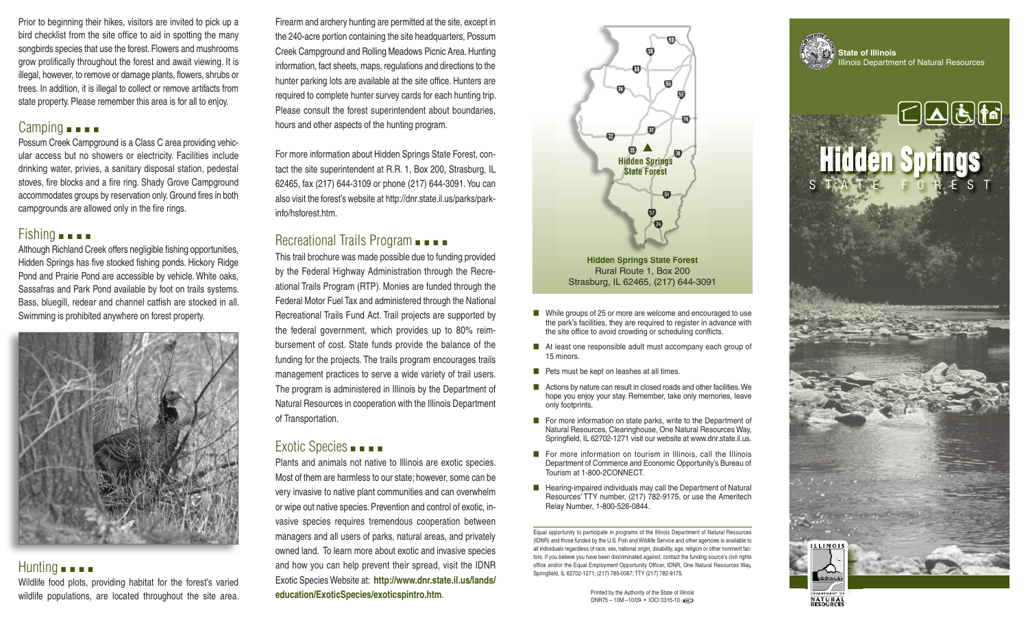Prior to beginning their hikes, visitors are invited to pick up a bird checklist from the site office to aid in spotting the many songbirds species that use the forest. Flowers and mushrooms grow prolifically throughout the forest and await viewing. It is illegal, however, to remove or damage plants, flowers, shrubs or trees. In addition, it is illegal to collect or remove artifacts from state property. Please remember this area is for all to enjoy.

#### Camping ■ ■ ■ ■

Possum Creek Campground is a Class C area providing vehicular access but no showers or electricity. Facilities include drinking water, privies, a sanitary disposal station, pedestal stoves, fire blocks and a fire ring. Shady Grove Campground accommodates groups by reservation only. Ground fires in both campgrounds are allowed only in the fire rings.

#### Fishing **■ ■ ■**

Although Richland Creek offers negligible fishing opportunities, Hidden Springs has five stocked fishing ponds. Hickory Ridge Pond and Prairie Pond are accessible by vehicle. White oaks, Sassafras and Park Pond available by foot on trails systems. Bass, bluegill, redear and channel catfish are stocked in all. Swimming is prohibited anywhere on forest property.



## Hunting ■ ■ ■ ■

Wildlife food plots, providing habitat for the forest's varied wildlife populations, are located throughout the site area.

Firearm and archery hunting are permitted at the site, except in the 240-acre portion containing the site headquarters, Possum Creek Campground and Rolling Meadows Picnic Area. Hunting information, fact sheets, maps, regulations and directions to the hunter parking lots are available at the site office. Hunters are required to complete hunter survey cards for each hunting trip. Please consult the forest superintendent about boundaries, hours and other aspects of the hunting program.

For more information about Hidden Springs State Forest, contact the site superintendent at R.R. 1, Box 200, Strasburg, IL 62465, fax (217) 644-3109 or phone (217) 644-3091.You can also visit the forest's website at http://dnr.state.il.us/parks/parkinfo/hsforest.htm.

### Recreational Trails Program ■ ■ ■

This trail brochure was made possible due to funding provided by the Federal Highway Administration through the Recreational Trails Program (RTP). Monies are funded through the Federal Motor Fuel Tax and administered through the National Recreational Trails Fund Act. Trail projects are supported by the federal government, which provides up to 80% reimbursement of cost. State funds provide the balance of the funding for the projects. The trails program encourages trails management practices to serve a wide variety of trail users. The program is administered in Illinois by the Department of Natural Resources in cooperation with the Illinois Department of Transportation.

#### Exotic Species ■ ■ ■ ■

Plants and animals not native to Illinois are exotic species. Most of them are harmless to our state; however, some can be very invasive to native plant communities and can overwhelm or wipe out native species. Prevention and control of exotic, invasive species requires tremendous cooperation between managers and all users of parks, natural areas, and privately owned land. To learn more about exotic and invasive species and how you can help prevent their spread, visit the IDNR Exotic Species Website at: **http://www.dnr.state.il.us/lands/ education/ExoticSpecies/exoticspintro.htm**.



- While groups of 25 or more are welcome and encouraged to use the park's facilities, they are required to register in advance with the site office to avoid crowding or scheduling conflicts.
- At least one responsible adult must accompany each group of 15 minors.
- Pets must be kept on leashes at all times.
- Actions by nature can result in closed roads and other facilities. We hope you enjoy your stay. Remember, take only memories, leave only footprints.
- For more information on state parks, write to the Department of Natural Resources, Clearinghouse, One Natural Resources Way, Springfield, IL 62702-1271 visit our website at www.dnr.state.il.us.
- For more information on tourism in Illinois, call the Illinois Department of Commerce and Economic Opportunity's Bureau of Tourism at 1-800-2CONNECT.
- Hearing-impaired individuals may call the Department of Natural Resources' TTY number, (217) 782-9175, or use the Ameritech Relay Number, 1-800-526-0844.

Equal opportunity to participate in programs of the Illinois Department of Natural Resources (IDNR) and those funded by the U.S. Fish and Wildlife Service and other agencies is available to all individuals regardless of race, sex, national origin, disability, age, religion or other nonmerit factors. If you believe you have been discriminated against, contact the funding source's civil rights office and/or the Equal Employment Opportunity Officer, IDNR, One Natural Resources Way, Springfield, IL 62702-1271; (217) 785-0067; TTY (217) 782-9175.

> Printed by the Authority of the State of Illinois DNR75 – 10M –10/09 • IOCI 0315-10